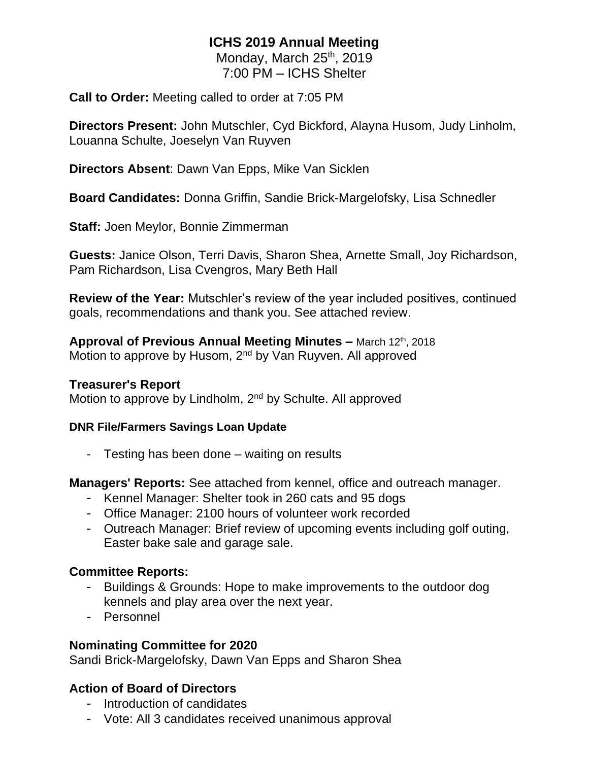# **ICHS 2019 Annual Meeting**

Monday, March 25<sup>th</sup>, 2019 7:00 PM – ICHS Shelter

**Call to Order:** Meeting called to order at 7:05 PM

**Directors Present:** John Mutschler, Cyd Bickford, Alayna Husom, Judy Linholm, Louanna Schulte, Joeselyn Van Ruyven

**Directors Absent**: Dawn Van Epps, Mike Van Sicklen

**Board Candidates:** Donna Griffin, Sandie Brick-Margelofsky, Lisa Schnedler

**Staff:** Joen Meylor, Bonnie Zimmerman

**Guests:** Janice Olson, Terri Davis, Sharon Shea, Arnette Small, Joy Richardson, Pam Richardson, Lisa Cvengros, Mary Beth Hall

**Review of the Year:** Mutschler's review of the year included positives, continued goals, recommendations and thank you. See attached review.

**Approval of Previous Annual Meeting Minutes –** March 12th, 2018 Motion to approve by Husom, 2<sup>nd</sup> by Van Ruyven. All approved

#### **Treasurer's Report**

Motion to approve by Lindholm, 2<sup>nd</sup> by Schulte. All approved

#### **DNR File/Farmers Savings Loan Update**

- Testing has been done – waiting on results

**Managers' Reports:** See attached from kennel, office and outreach manager.

- Kennel Manager: Shelter took in 260 cats and 95 dogs
- Office Manager: 2100 hours of volunteer work recorded
- Outreach Manager: Brief review of upcoming events including golf outing, Easter bake sale and garage sale.

### **Committee Reports:**

- Buildings & Grounds: Hope to make improvements to the outdoor dog kennels and play area over the next year.
- Personnel

### **Nominating Committee for 2020**

Sandi Brick-Margelofsky, Dawn Van Epps and Sharon Shea

# **Action of Board of Directors**

- Introduction of candidates
- Vote: All 3 candidates received unanimous approval